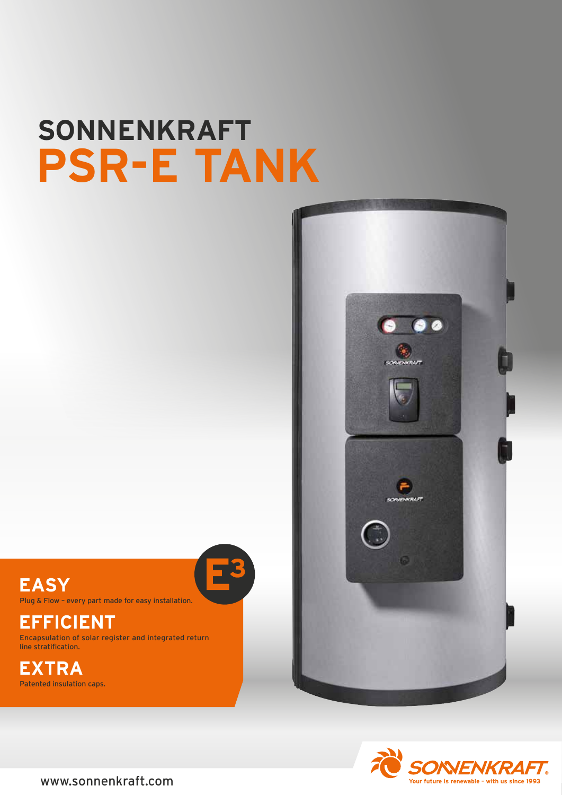# **SONNENKRAFT PSR-E TANK**



Plug & Flow – every part made for easy installation.

## **EFFICIENT**

Encapsulation of solar register and integrated return line stratification.

# **EXTRA**

Patented insulation caps.



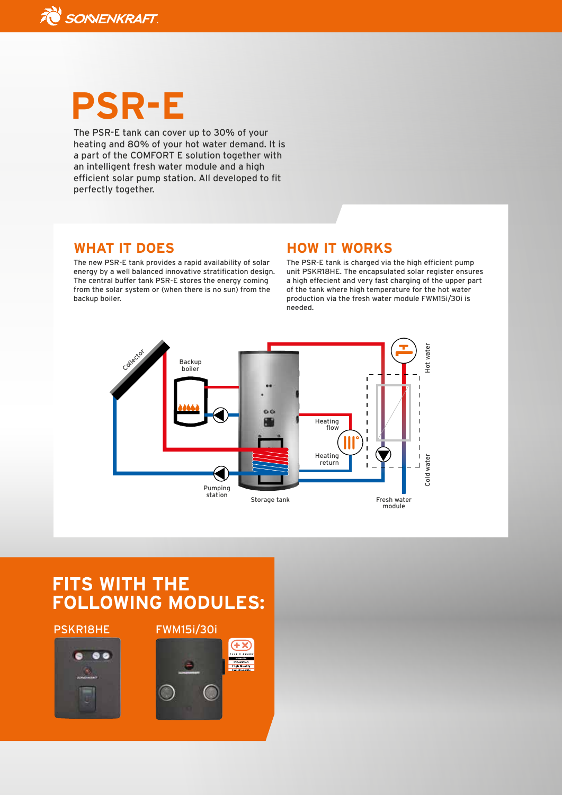

# **PSR-E**

The PSR-E tank can cover up to 30% of your heating and 80% of your hot water demand. It is a part of the COMFORT E solution together with an intelligent fresh water module and a high efficient solar pump station. All developed to fit perfectly together.

### **WHAT IT DOES**

The new PSR-E tank provides a rapid availability of solar energy by a well balanced innovative stratification design. The central buffer tank PSR-E stores the energy coming from the solar system or (when there is no sun) from the backup boiler.

### **HOW IT WORKS**

The PSR-E tank is charged via the high efficient pump unit PSKR18HE. The encapsulated solar register ensures a high effecient and very fast charging of the upper part of the tank where high temperature for the hot water production via the fresh water module FWM15i/30i is needed.



## **FITS WITH THE FOLLOWING MODULES:**



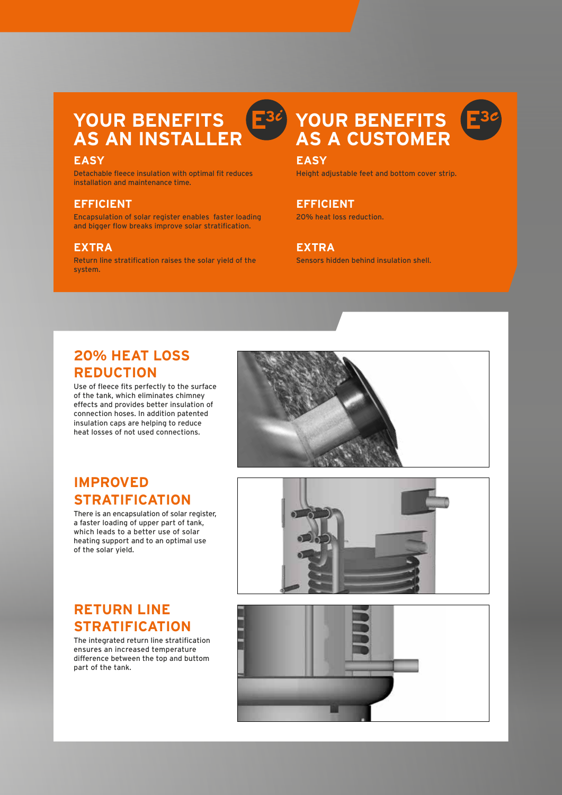# **YOUR BENEFITS AS AN INSTALLER**

#### **EASY**

Detachable fleece insulation with optimal fit reduces installation and maintenance time.

#### **EFFICIENT**

Encapsulation of solar register enables faster loading and bigger flow breaks improve solar stratification.

#### **EXTRA**

Return line stratification raises the solar yield of the system.

## **YOUR BENEFITS AS A CUSTOMER**

#### **EASY**

 $E$ 30

Height adjustable feet and bottom cover strip.

## **EFFICIENT**

20% heat loss reduction.

#### **EXTRA**

Sensors hidden behind insulation shell.

## **20% HEAT LOSS REDUCTION**

Use of fleece fits perfectly to the surface of the tank, which eliminates chimney effects and provides better insulation of connection hoses. In addition patented insulation caps are helping to reduce heat losses of not used connections.



## **IMPROVED STRATIFICATION**

There is an encapsulation of solar register, a faster loading of upper part of tank, which leads to a better use of solar heating support and to an optimal use of the solar yield.





The integrated return line stratification ensures an increased temperature difference between the top and buttom part of the tank.